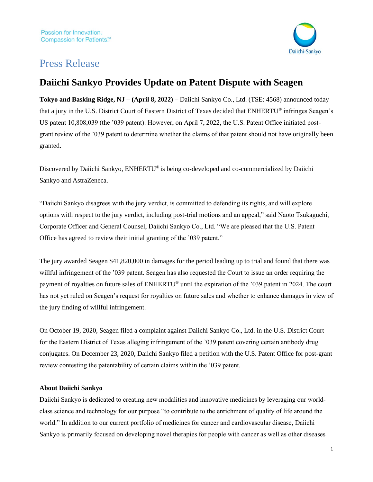

## Press Release

## **Daiichi Sankyo Provides Update on Patent Dispute with Seagen**

**Tokyo and Basking Ridge, NJ – (April 8, 2022)** – Daiichi Sankyo Co., Ltd. (TSE: 4568) announced today that a jury in the U.S. District Court of Eastern District of Texas decided that ENHERTU® infringes Seagen's US patent 10,808,039 (the '039 patent). However, on April 7, 2022, the U.S. Patent Office initiated postgrant review of the '039 patent to determine whether the claims of that patent should not have originally been granted.

Discovered by Daiichi Sankyo, ENHERTU® is being co-developed and co-commercialized by Daiichi Sankyo and AstraZeneca.

"Daiichi Sankyo disagrees with the jury verdict, is committed to defending its rights, and will explore options with respect to the jury verdict, including post-trial motions and an appeal," said Naoto Tsukaguchi, Corporate Officer and General Counsel, Daiichi Sankyo Co., Ltd. "We are pleased that the U.S. Patent Office has agreed to review their initial granting of the '039 patent."

The jury awarded Seagen \$41,820,000 in damages for the period leading up to trial and found that there was willful infringement of the '039 patent. Seagen has also requested the Court to issue an order requiring the payment of royalties on future sales of ENHERTU® until the expiration of the '039 patent in 2024. The court has not yet ruled on Seagen's request for royalties on future sales and whether to enhance damages in view of the jury finding of willful infringement.

On October 19, 2020, Seagen filed a complaint against Daiichi Sankyo Co., Ltd. in the U.S. District Court for the Eastern District of Texas alleging infringement of the '039 patent covering certain antibody drug conjugates. On December 23, 2020, Daiichi Sankyo filed a petition with the U.S. Patent Office for post-grant review contesting the patentability of certain claims within the '039 patent.

## **About Daiichi Sankyo**

Daiichi Sankyo is dedicated to creating new modalities and innovative medicines by leveraging our worldclass science and technology for our purpose "to contribute to the enrichment of quality of life around the world." In addition to our current portfolio of medicines for cancer and cardiovascular disease, Daiichi Sankyo is primarily focused on developing novel therapies for people with cancer as well as other diseases